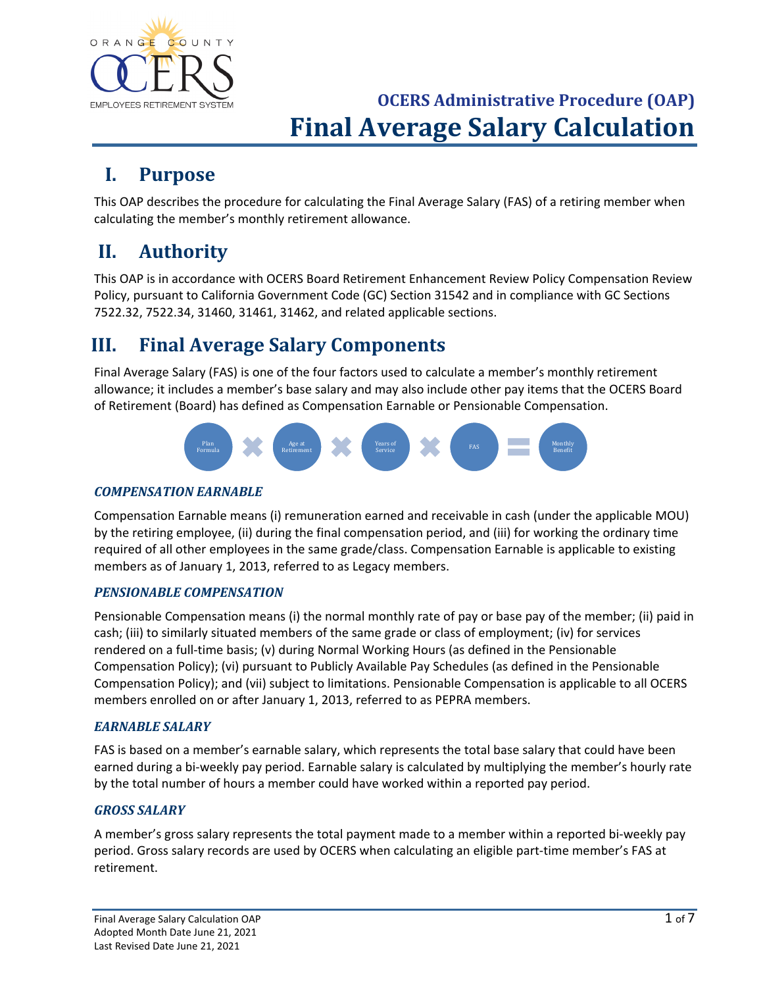

### **I. Purpose**

This OAP describes the procedure for calculating the Final Average Salary (FAS) of a retiring member when calculating the member's monthly retirement allowance.

## **II. Authority**

This OAP is in accordance with OCERS Board Retirement Enhancement Review Policy Compensation Review Policy, pursuant to California Government Code (GC) Section 31542 and in compliance with GC Sections 7522.32, 7522.34, 31460, 31461, 31462, and related applicable sections.

## **III. Final Average Salary Components**

Final Average Salary (FAS) is one of the four factors used to calculate a member's monthly retirement allowance; it includes a member's base salary and may also include other pay items that the OCERS Board of Retirement (Board) has defined as Compensation Earnable or Pensionable Compensation.



#### *COMPENSATION EARNABLE*

Compensation Earnable means (i) remuneration earned and receivable in cash (under the applicable MOU) by the retiring employee, (ii) during the final compensation period, and (iii) for working the ordinary time required of all other employees in the same grade/class. Compensation Earnable is applicable to existing members as of January 1, 2013, referred to as Legacy members.

#### *PENSIONABLE COMPENSATION*

Pensionable Compensation means (i) the normal monthly rate of pay or base pay of the member; (ii) paid in cash; (iii) to similarly situated members of the same grade or class of employment; (iv) for services rendered on a full-time basis; (v) during Normal Working Hours (as defined in the Pensionable Compensation Policy); (vi) pursuant to Publicly Available Pay Schedules (as defined in the Pensionable Compensation Policy); and (vii) subject to limitations. Pensionable Compensation is applicable to all OCERS members enrolled on or after January 1, 2013, referred to as PEPRA members.

#### *EARNABLE SALARY*

FAS is based on a member's earnable salary, which represents the total base salary that could have been earned during a bi-weekly pay period. Earnable salary is calculated by multiplying the member's hourly rate by the total number of hours a member could have worked within a reported pay period.

#### *GROSS SALARY*

A member's gross salary represents the total payment made to a member within a reported bi-weekly pay period. Gross salary records are used by OCERS when calculating an eligible part-time member's FAS at retirement.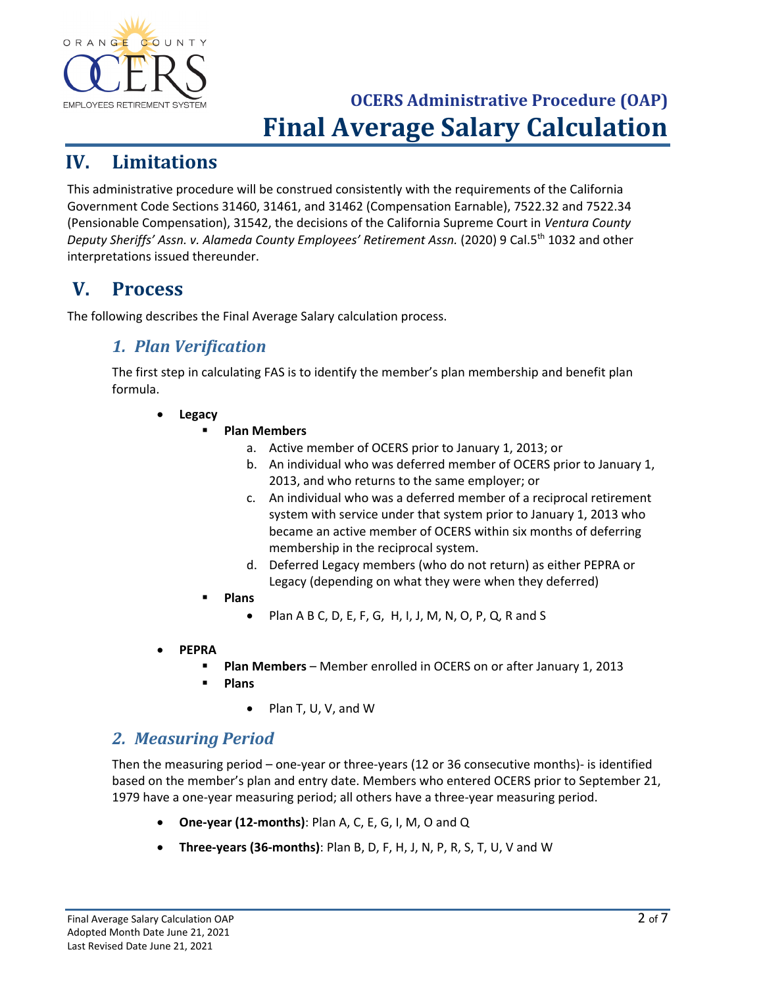

### **IV. Limitations**

This administrative procedure will be construed consistently with the requirements of the California Government Code Sections 31460, 31461, and 31462 (Compensation Earnable), 7522.32 and 7522.34 (Pensionable Compensation), 31542, the decisions of the California Supreme Court in *Ventura County Deputy Sheriffs' Assn. v. Alameda County Employees' Retirement Assn.* (2020) 9 Cal.5th 1032 and other interpretations issued thereunder.

## **V. Process**

The following describes the Final Average Salary calculation process.

### *1. Plan Verification*

The first step in calculating FAS is to identify the member's plan membership and benefit plan formula.

- **Legacy**
	- **Plan Members**
		- a. Active member of OCERS prior to January 1, 2013; or
		- b. An individual who was deferred member of OCERS prior to January 1, 2013, and who returns to the same employer; or
		- c. An individual who was a deferred member of a reciprocal retirement system with service under that system prior to January 1, 2013 who became an active member of OCERS within six months of deferring membership in the reciprocal system.
		- d. Deferred Legacy members (who do not return) as either PEPRA or Legacy (depending on what they were when they deferred)
		- **Plans**
			- Plan A B C, D, E, F, G, H, I, J, M, N, O, P, Q, R and S
- **PEPRA** 
	- **Plan Members** Member enrolled in OCERS on or after January 1, 2013
	- **Plans**
		- Plan T, U, V, and W

### *2. Measuring Period*

Then the measuring period – one-year or three-years (12 or 36 consecutive months)- is identified based on the member's plan and entry date. Members who entered OCERS prior to September 21, 1979 have a one-year measuring period; all others have a three-year measuring period.

- **One-year (12-months)**: Plan A, C, E, G, I, M, O and Q
- **Three-years (36-months)**: Plan B, D, F, H, J, N, P, R, S, T, U, V and W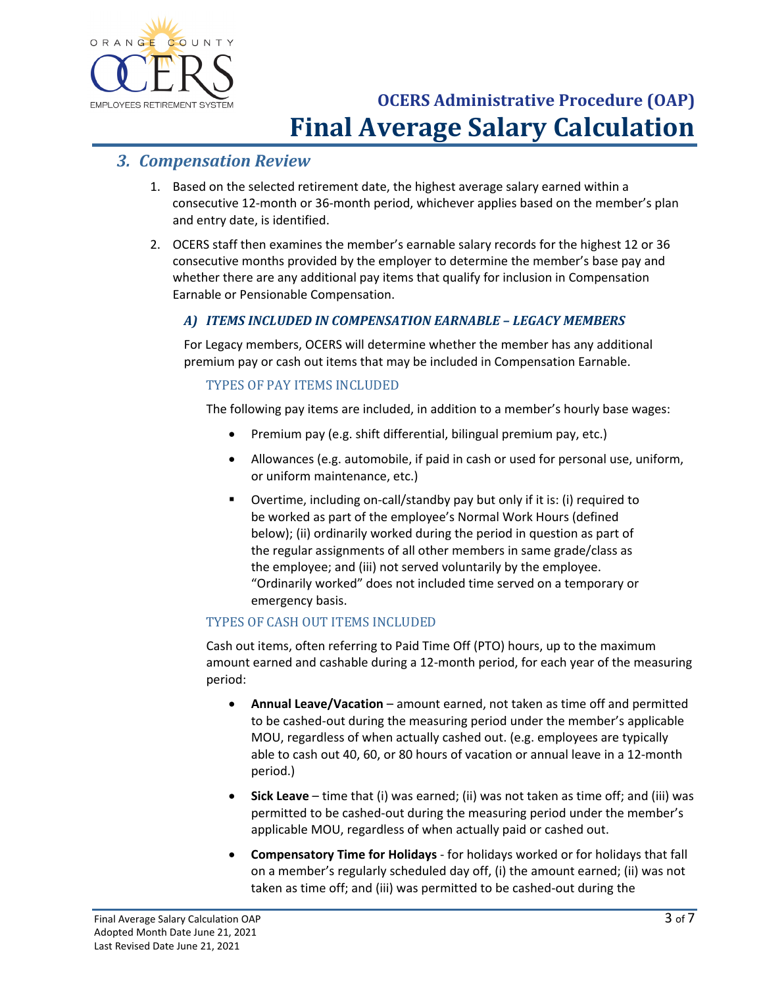

#### *3. Compensation Review*

- 1. Based on the selected retirement date, the highest average salary earned within a consecutive 12-month or 36-month period, whichever applies based on the member's plan and entry date, is identified.
- 2. OCERS staff then examines the member's earnable salary records for the highest 12 or 36 consecutive months provided by the employer to determine the member's base pay and whether there are any additional pay items that qualify for inclusion in Compensation Earnable or Pensionable Compensation.

#### *A) ITEMS INCLUDED IN COMPENSATION EARNABLE – LEGACY MEMBERS*

For Legacy members, OCERS will determine whether the member has any additional premium pay or cash out items that may be included in Compensation Earnable.

#### TYPES OF PAY ITEMS INCLUDED

The following pay items are included, in addition to a member's hourly base wages:

- Premium pay (e.g. shift differential, bilingual premium pay, etc.)
- Allowances (e.g. automobile, if paid in cash or used for personal use, uniform, or uniform maintenance, etc.)
- Overtime, including on-call/standby pay but only if it is: (i) required to be worked as part of the employee's Normal Work Hours (defined below); (ii) ordinarily worked during the period in question as part of the regular assignments of all other members in same grade/class as the employee; and (iii) not served voluntarily by the employee. "Ordinarily worked" does not included time served on a temporary or emergency basis.

#### TYPES OF CASH OUT ITEMS INCLUDED

Cash out items, often referring to Paid Time Off (PTO) hours, up to the maximum amount earned and cashable during a 12-month period, for each year of the measuring period:

- **Annual Leave/Vacation**  amount earned, not taken as time off and permitted to be cashed-out during the measuring period under the member's applicable MOU, regardless of when actually cashed out. (e.g. employees are typically able to cash out 40, 60, or 80 hours of vacation or annual leave in a 12-month period.)
- **Sick Leave**  time that (i) was earned; (ii) was not taken as time off; and (iii) was permitted to be cashed-out during the measuring period under the member's applicable MOU, regardless of when actually paid or cashed out.
- **Compensatory Time for Holidays**  for holidays worked or for holidays that fall on a member's regularly scheduled day off, (i) the amount earned; (ii) was not taken as time off; and (iii) was permitted to be cashed-out during the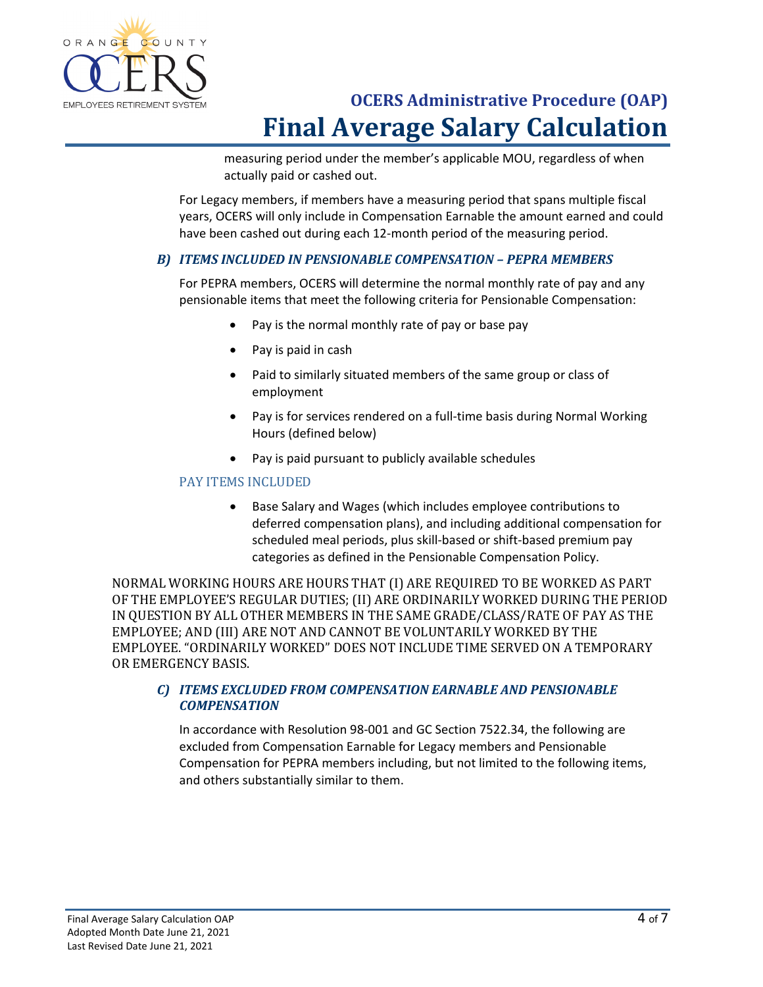

measuring period under the member's applicable MOU, regardless of when actually paid or cashed out.

For Legacy members, if members have a measuring period that spans multiple fiscal years, OCERS will only include in Compensation Earnable the amount earned and could have been cashed out during each 12-month period of the measuring period.

#### *B) ITEMS INCLUDED IN PENSIONABLE COMPENSATION – PEPRA MEMBERS*

For PEPRA members, OCERS will determine the normal monthly rate of pay and any pensionable items that meet the following criteria for Pensionable Compensation:

- Pay is the normal monthly rate of pay or base pay
- Pay is paid in cash
- Paid to similarly situated members of the same group or class of employment
- Pay is for services rendered on a full-time basis during Normal Working Hours (defined below)
- Pay is paid pursuant to publicly available schedules

#### PAY ITEMS INCLUDED

• Base Salary and Wages (which includes employee contributions to deferred compensation plans), and including additional compensation for scheduled meal periods, plus skill-based or shift-based premium pay categories as defined in the Pensionable Compensation Policy.

NORMAL WORKING HOURS ARE HOURS THAT (I) ARE REQUIRED TO BE WORKED AS PART OF THE EMPLOYEE'S REGULAR DUTIES; (II) ARE ORDINARILY WORKED DURING THE PERIOD IN QUESTION BY ALL OTHER MEMBERS IN THE SAME GRADE/CLASS/RATE OF PAY AS THE EMPLOYEE; AND (III) ARE NOT AND CANNOT BE VOLUNTARILY WORKED BY THE EMPLOYEE. "ORDINARILY WORKED" DOES NOT INCLUDE TIME SERVED ON A TEMPORARY OR EMERGENCY BASIS.

#### *C) ITEMS EXCLUDED FROM COMPENSATION EARNABLE AND PENSIONABLE COMPENSATION*

In accordance with Resolution 98-001 and GC Section 7522.34, the following are excluded from Compensation Earnable for Legacy members and Pensionable Compensation for PEPRA members including, but not limited to the following items, and others substantially similar to them.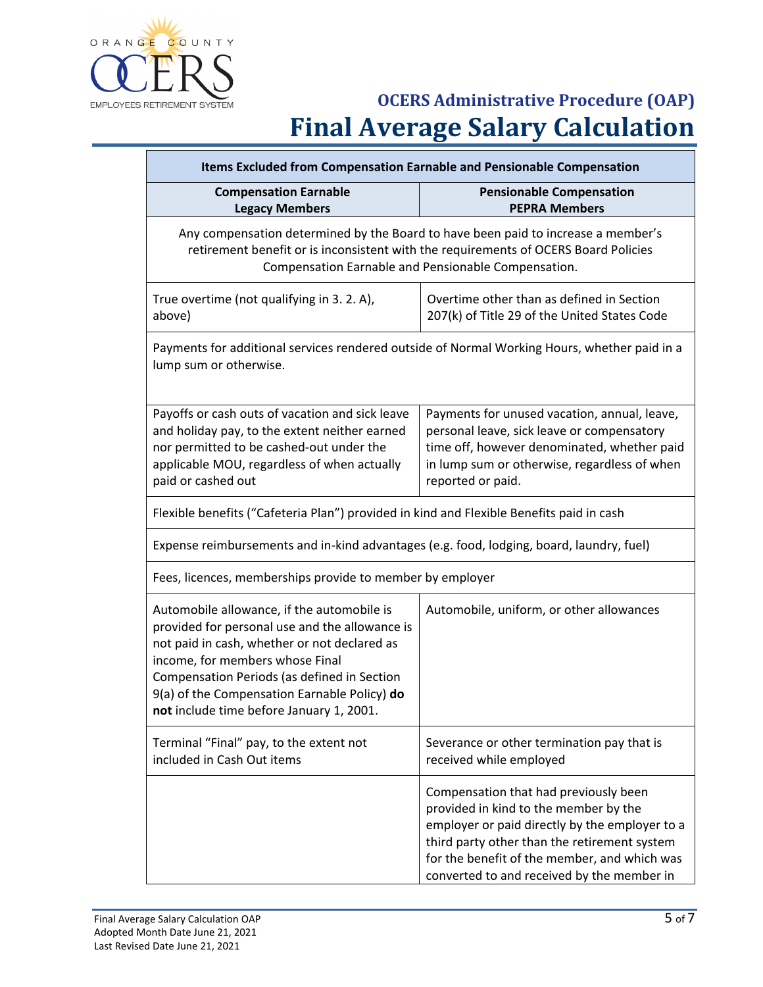

| Items Excluded from Compensation Earnable and Pensionable Compensation                                                                                                                                                                                                                                                     |                                                                                                                                                                                                                                                                                |
|----------------------------------------------------------------------------------------------------------------------------------------------------------------------------------------------------------------------------------------------------------------------------------------------------------------------------|--------------------------------------------------------------------------------------------------------------------------------------------------------------------------------------------------------------------------------------------------------------------------------|
| <b>Compensation Earnable</b><br><b>Legacy Members</b>                                                                                                                                                                                                                                                                      | <b>Pensionable Compensation</b><br><b>PEPRA Members</b>                                                                                                                                                                                                                        |
|                                                                                                                                                                                                                                                                                                                            | Any compensation determined by the Board to have been paid to increase a member's<br>retirement benefit or is inconsistent with the requirements of OCERS Board Policies<br>Compensation Earnable and Pensionable Compensation.                                                |
| True overtime (not qualifying in 3. 2. A),<br>above)                                                                                                                                                                                                                                                                       | Overtime other than as defined in Section<br>207(k) of Title 29 of the United States Code                                                                                                                                                                                      |
| Payments for additional services rendered outside of Normal Working Hours, whether paid in a<br>lump sum or otherwise.                                                                                                                                                                                                     |                                                                                                                                                                                                                                                                                |
| Payoffs or cash outs of vacation and sick leave<br>and holiday pay, to the extent neither earned<br>nor permitted to be cashed-out under the<br>applicable MOU, regardless of when actually<br>paid or cashed out                                                                                                          | Payments for unused vacation, annual, leave,<br>personal leave, sick leave or compensatory<br>time off, however denominated, whether paid<br>in lump sum or otherwise, regardless of when<br>reported or paid.                                                                 |
| Flexible benefits ("Cafeteria Plan") provided in kind and Flexible Benefits paid in cash                                                                                                                                                                                                                                   |                                                                                                                                                                                                                                                                                |
| Expense reimbursements and in-kind advantages (e.g. food, lodging, board, laundry, fuel)                                                                                                                                                                                                                                   |                                                                                                                                                                                                                                                                                |
| Fees, licences, memberships provide to member by employer                                                                                                                                                                                                                                                                  |                                                                                                                                                                                                                                                                                |
| Automobile allowance, if the automobile is<br>provided for personal use and the allowance is<br>not paid in cash, whether or not declared as<br>income, for members whose Final<br>Compensation Periods (as defined in Section<br>9(a) of the Compensation Earnable Policy) do<br>not include time before January 1, 2001. | Automobile, uniform, or other allowances                                                                                                                                                                                                                                       |
| Terminal "Final" pay, to the extent not<br>included in Cash Out items                                                                                                                                                                                                                                                      | Severance or other termination pay that is<br>received while employed                                                                                                                                                                                                          |
|                                                                                                                                                                                                                                                                                                                            | Compensation that had previously been<br>provided in kind to the member by the<br>employer or paid directly by the employer to a<br>third party other than the retirement system<br>for the benefit of the member, and which was<br>converted to and received by the member in |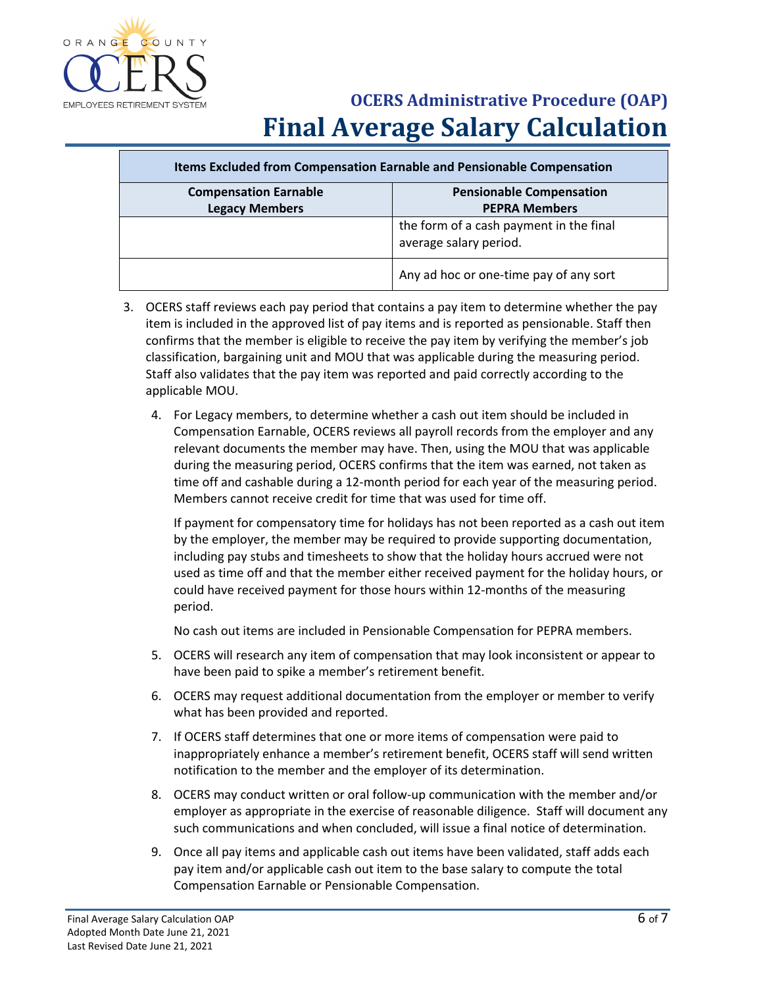

| Items Excluded from Compensation Earnable and Pensionable Compensation |                                                                   |
|------------------------------------------------------------------------|-------------------------------------------------------------------|
| <b>Compensation Earnable</b><br><b>Legacy Members</b>                  | <b>Pensionable Compensation</b><br><b>PEPRA Members</b>           |
|                                                                        | the form of a cash payment in the final<br>average salary period. |
|                                                                        | Any ad hoc or one-time pay of any sort                            |

- 3. OCERS staff reviews each pay period that contains a pay item to determine whether the pay item is included in the approved list of pay items and is reported as pensionable. Staff then confirms that the member is eligible to receive the pay item by verifying the member's job classification, bargaining unit and MOU that was applicable during the measuring period. Staff also validates that the pay item was reported and paid correctly according to the applicable MOU.
	- 4. For Legacy members, to determine whether a cash out item should be included in Compensation Earnable, OCERS reviews all payroll records from the employer and any relevant documents the member may have. Then, using the MOU that was applicable during the measuring period, OCERS confirms that the item was earned, not taken as time off and cashable during a 12-month period for each year of the measuring period. Members cannot receive credit for time that was used for time off.

If payment for compensatory time for holidays has not been reported as a cash out item by the employer, the member may be required to provide supporting documentation, including pay stubs and timesheets to show that the holiday hours accrued were not used as time off and that the member either received payment for the holiday hours, or could have received payment for those hours within 12-months of the measuring period.

No cash out items are included in Pensionable Compensation for PEPRA members.

- 5. OCERS will research any item of compensation that may look inconsistent or appear to have been paid to spike a member's retirement benefit.
- 6. OCERS may request additional documentation from the employer or member to verify what has been provided and reported.
- 7. If OCERS staff determines that one or more items of compensation were paid to inappropriately enhance a member's retirement benefit, OCERS staff will send written notification to the member and the employer of its determination.
- 8. OCERS may conduct written or oral follow-up communication with the member and/or employer as appropriate in the exercise of reasonable diligence. Staff will document any such communications and when concluded, will issue a final notice of determination.
- 9. Once all pay items and applicable cash out items have been validated, staff adds each pay item and/or applicable cash out item to the base salary to compute the total Compensation Earnable or Pensionable Compensation.